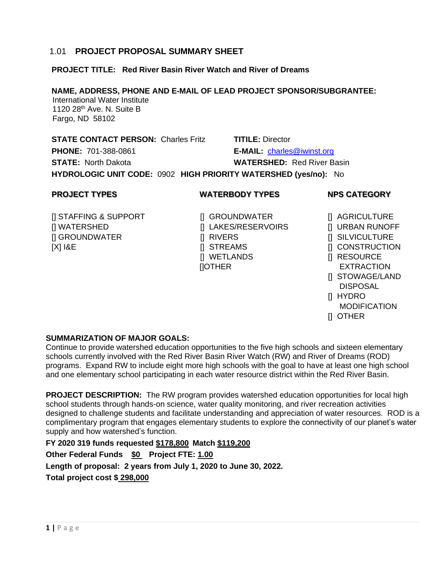# 1.01 **PROJECT PROPOSAL SUMMARY SHEET**

#### **PROJECT TITLE: Red River Basin River Watch and River of Dreams**

#### **NAME, ADDRESS, PHONE AND E-MAIL OF LEAD PROJECT SPONSOR/SUBGRANTEE:**

 International Water Institute 1120 28<sup>th</sup> Ave. N. Suite B Fargo, ND 58102

**STATE CONTACT PERSON:** Charles Fritz **TITILE:** Director **PHONE:** 701-388-0861 **E-MAIL:** [charles@iwinst.org](mailto:charles@iwinst.org) **STATE:** North Dakota **WATERSHED:** Red River Basin

**HYDROLOGIC UNIT CODE:** 0902 **HIGH PRIORITY WATERSHED (yes/no):** No

# **PROJECT TYPES WATERBODY TYPES NPS CATEGORY**

- [] STAFFING & SUPPORT [] GROUNDWATER [] AGRICULTURE [] WATERSHED [] LAKES/RESERVOIRS [] URBAN RUNOFF [] GROUNDWATER [] RIVERS [] SILVICULTURE [X] I&E [] STREAMS [] CONSTRUCTION
	- [] WETLANDS [] RESOURCE []OTHER EXTRACTION

- 
- 
- 
- 
- 
- 
- [] STOWAGE/LAND DISPOSAL
- [] HYDRO
- **MODIFICATION**
- [] OTHER

# **SUMMARIZATION OF MAJOR GOALS:**

Continue to provide watershed education opportunities to the five high schools and sixteen elementary schools currently involved with the Red River Basin River Watch (RW) and River of Dreams (ROD) programs. Expand RW to include eight more high schools with the goal to have at least one high school and one elementary school participating in each water resource district within the Red River Basin.

**PROJECT DESCRIPTION:** The RW program provides watershed education opportunities for local high school students through hands-on science, water quality monitoring, and river recreation activities designed to challenge students and facilitate understanding and appreciation of water resources. ROD is a complimentary program that engages elementary students to explore the connectivity of our planet's water supply and how watershed's function.

**FY 2020 319 funds requested \$178,800 Match \$119,200 Other Federal Funds \$0 Project FTE: 1.00 Length of proposal: 2 years from July 1, 2020 to June 30, 2022. Total project cost \$ 298,000**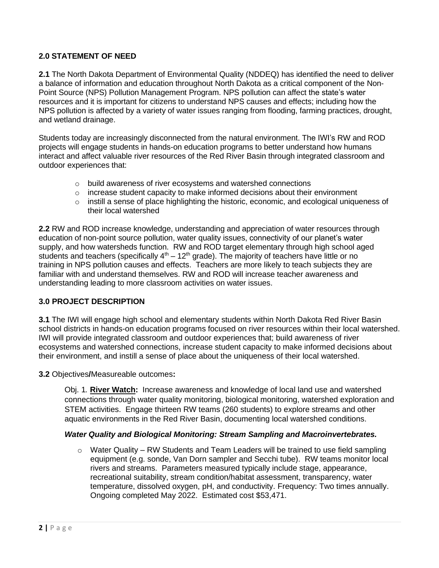## **2.0 STATEMENT OF NEED**

**2.1** The North Dakota Department of Environmental Quality (NDDEQ) has identified the need to deliver a balance of information and education throughout North Dakota as a critical component of the Non-Point Source (NPS) Pollution Management Program. NPS pollution can affect the state's water resources and it is important for citizens to understand NPS causes and effects; including how the NPS pollution is affected by a variety of water issues ranging from flooding, farming practices, drought, and wetland drainage.

Students today are increasingly disconnected from the natural environment. The IWI's RW and ROD projects will engage students in hands-on education programs to better understand how humans interact and affect valuable river resources of the Red River Basin through integrated classroom and outdoor experiences that:

- o build awareness of river ecosystems and watershed connections
- $\circ$  increase student capacity to make informed decisions about their environment
- o instill a sense of place highlighting the historic, economic, and ecological uniqueness of their local watershed

**2.2** RW and ROD increase knowledge, understanding and appreciation of water resources through education of non-point source pollution, water quality issues, connectivity of our planet's water supply, and how watersheds function. RW and ROD target elementary through high school aged students and teachers (specifically  $4<sup>th</sup> - 12<sup>th</sup>$  grade). The majority of teachers have little or no training in NPS pollution causes and effects. Teachers are more likely to teach subjects they are familiar with and understand themselves. RW and ROD will increase teacher awareness and understanding leading to more classroom activities on water issues.

#### **3.0 PROJECT DESCRIPTION**

**3.1** The IWI will engage high school and elementary students within North Dakota Red River Basin school districts in hands-on education programs focused on river resources within their local watershed. IWI will provide integrated classroom and outdoor experiences that; build awareness of river ecosystems and watershed connections, increase student capacity to make informed decisions about their environment, and instill a sense of place about the uniqueness of their local watershed.

**3.2** Objectives**/**Measureable outcomes**:**

Obj. 1*.* **River Watch:** Increase awareness and knowledge of local land use and watershed connections through water quality monitoring, biological monitoring, watershed exploration and STEM activities. Engage thirteen RW teams (260 students) to explore streams and other aquatic environments in the Red River Basin, documenting local watershed conditions.

#### *Water Quality and Biological Monitoring: Stream Sampling and Macroinvertebrates.*

 $\circ$  Water Quality – RW Students and Team Leaders will be trained to use field sampling equipment (e.g. sonde, Van Dorn sampler and Secchi tube). RW teams monitor local rivers and streams. Parameters measured typically include stage, appearance, recreational suitability, stream condition/habitat assessment, transparency, water temperature, dissolved oxygen, pH, and conductivity. Frequency: Two times annually. Ongoing completed May 2022. Estimated cost \$53,471.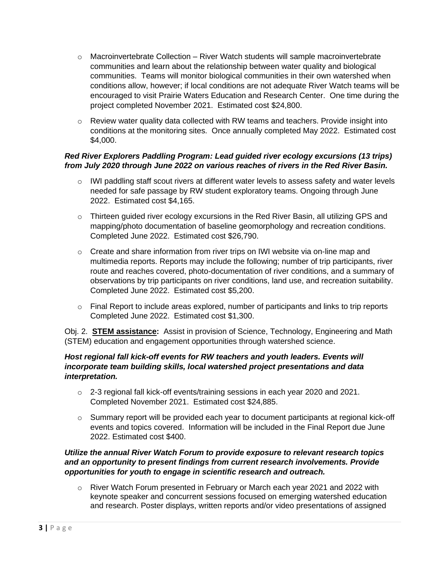- o Macroinvertebrate Collection River Watch students will sample macroinvertebrate communities and learn about the relationship between water quality and biological communities. Teams will monitor biological communities in their own watershed when conditions allow, however; if local conditions are not adequate River Watch teams will be encouraged to visit Prairie Waters Education and Research Center. One time during the project completed November 2021. Estimated cost \$24,800.
- $\circ$  Review water quality data collected with RW teams and teachers. Provide insight into conditions at the monitoring sites. Once annually completed May 2022. Estimated cost \$4,000.

## *Red River Explorers Paddling Program: Lead guided river ecology excursions (13 trips) from July 2020 through June 2022 on various reaches of rivers in the Red River Basin.*

- $\circ$  IWI paddling staff scout rivers at different water levels to assess safety and water levels needed for safe passage by RW student exploratory teams. Ongoing through June 2022. Estimated cost \$4,165.
- $\circ$  Thirteen guided river ecology excursions in the Red River Basin, all utilizing GPS and mapping/photo documentation of baseline geomorphology and recreation conditions. Completed June 2022. Estimated cost \$26,790.
- $\circ$  Create and share information from river trips on IWI website via on-line map and multimedia reports. Reports may include the following; number of trip participants, river route and reaches covered, photo-documentation of river conditions, and a summary of observations by trip participants on river conditions, land use, and recreation suitability. Completed June 2022. Estimated cost \$5,200.
- $\circ$  Final Report to include areas explored, number of participants and links to trip reports Completed June 2022. Estimated cost \$1,300.

Obj. 2. **STEM assistance:** Assist in provision of Science, Technology, Engineering and Math (STEM) education and engagement opportunities through watershed science.

### *Host regional fall kick-off events for RW teachers and youth leaders. Events will incorporate team building skills, local watershed project presentations and data interpretation.*

- $\circ$  2-3 regional fall kick-off events/training sessions in each year 2020 and 2021. Completed November 2021. Estimated cost \$24,885.
- $\circ$  Summary report will be provided each year to document participants at regional kick-off events and topics covered. Information will be included in the Final Report due June 2022. Estimated cost \$400.

## *Utilize the annual River Watch Forum to provide exposure to relevant research topics and an opportunity to present findings from current research involvements. Provide opportunities for youth to engage in scientific research and outreach.*

 $\circ$  River Watch Forum presented in February or March each year 2021 and 2022 with keynote speaker and concurrent sessions focused on emerging watershed education and research. Poster displays, written reports and/or video presentations of assigned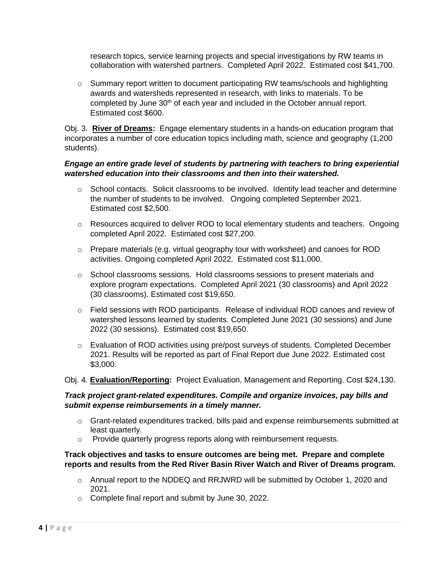research topics, service learning projects and special investigations by RW teams in collaboration with watershed partners. Completed April 2022. Estimated cost \$41,700.

 $\circ$  Summary report written to document participating RW teams/schools and highlighting awards and watersheds represented in research, with links to materials. To be completed by June 30<sup>th</sup> of each year and included in the October annual report. Estimated cost \$600.

Obj. 3. **River of Dreams:** Engage elementary students in a hands-on education program that incorporates a number of core education topics including math, science and geography (1,200 students).

#### *Engage an entire grade level of students by partnering with teachers to bring experiential watershed education into their classrooms and then into their watershed.*

- $\circ$  School contacts. Solicit classrooms to be involved. Identify lead teacher and determine the number of students to be involved. Ongoing completed September 2021. Estimated cost \$2,500.
- o Resources acquired to deliver ROD to local elementary students and teachers. Ongoing completed April 2022. Estimated cost \$27,200.
- $\circ$  Prepare materials (e.g. virtual geography tour with worksheet) and canoes for ROD activities. Ongoing completed April 2022. Estimated cost \$11,000.
- $\circ$  School classrooms sessions. Hold classrooms sessions to present materials and explore program expectations. Completed April 2021 (30 classrooms) and April 2022 (30 classrooms). Estimated cost \$19,650.
- o Field sessions with ROD participants. Release of individual ROD canoes and review of watershed lessons learned by students. Completed June 2021 (30 sessions) and June 2022 (30 sessions). Estimated cost \$19,650.
- $\circ$  Evaluation of ROD activities using pre/post surveys of students. Completed December 2021. Results will be reported as part of Final Report due June 2022. Estimated cost \$3,000.

Obj. 4*.* **Evaluation/Reporting:** Project Evaluation, Management and Reporting. Cost \$24,130.

## *Track project grant-related expenditures. Compile and organize invoices, pay bills and submit expense reimbursements in a timely manner.*

- $\circ$  Grant-related expenditures tracked, bills paid and expense reimbursements submitted at least quarterly.
- o Provide quarterly progress reports along with reimbursement requests.

#### **Track objectives and tasks to ensure outcomes are being met. Prepare and complete reports and results from the Red River Basin River Watch and River of Dreams program.**

- o Annual report to the NDDEQ and RRJWRD will be submitted by October 1, 2020 and 2021.
- o Complete final report and submit by June 30, 2022.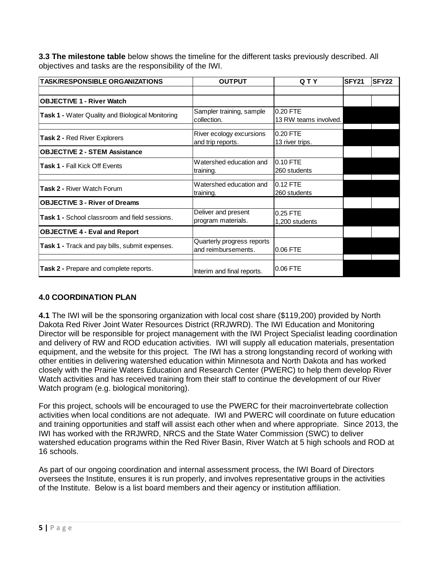**3.3 The milestone table** below shows the timeline for the different tasks previously described. All objectives and tasks are the responsibility of the IWI.

| <b>TASK/RESPONSIBLE ORGANIZATIONS</b>                                                             | <b>OUTPUT</b>                                                  | QTY                               | <b>SFY21</b> | <b>SFY22</b> |
|---------------------------------------------------------------------------------------------------|----------------------------------------------------------------|-----------------------------------|--------------|--------------|
|                                                                                                   |                                                                |                                   |              |              |
| <b>OBJECTIVE 1 - River Watch</b>                                                                  |                                                                |                                   |              |              |
| Task 1 - Water Quality and Biological Monitoring                                                  | Sampler training, sample<br>collection.                        | 0.20 FTE<br>13 RW teams involved. |              |              |
| Task 2 - Red River Explorers                                                                      | River ecology excursions<br>and trip reports.                  | 0.20 FTE<br>13 river trips.       |              |              |
| <b>OBJECTIVE 2 - STEM Assistance</b>                                                              |                                                                |                                   |              |              |
| <b>Task 1 - Fall Kick Off Events</b>                                                              | Watershed education and<br>training.                           | 0.10 FTE<br>260 students          |              |              |
| <b>Task 2 - River Watch Forum</b>                                                                 | Watershed education and<br>training.                           | 0.12 FTE<br>260 students          |              |              |
| <b>OBJECTIVE 3 - River of Dreams</b>                                                              |                                                                |                                   |              |              |
| Deliver and present<br><b>Task 1 -</b> School classroom and field sessions.<br>program materials. |                                                                | 0.25 FTE<br>1.200 students        |              |              |
| <b>OBJECTIVE 4 - Eval and Report</b>                                                              |                                                                |                                   |              |              |
| Task 1 - Track and pay bills, submit expenses.                                                    | Quarterly progress reports<br>and reimbursements.<br>10.06 FTE |                                   |              |              |
| Task 2 - Prepare and complete reports.                                                            | 0.06 FTE<br>Interim and final reports.                         |                                   |              |              |

# **4.0 COORDINATION PLAN**

**4.1** The IWI will be the sponsoring organization with local cost share (\$119,200) provided by North Dakota Red River Joint Water Resources District (RRJWRD). The IWI Education and Monitoring Director will be responsible for project management with the IWI Project Specialist leading coordination and delivery of RW and ROD education activities. IWI will supply all education materials, presentation equipment, and the website for this project. The IWI has a strong longstanding record of working with other entities in delivering watershed education within Minnesota and North Dakota and has worked closely with the Prairie Waters Education and Research Center (PWERC) to help them develop River Watch activities and has received training from their staff to continue the development of our River Watch program (e.g. biological monitoring).

For this project, schools will be encouraged to use the PWERC for their macroinvertebrate collection activities when local conditions are not adequate. IWI and PWERC will coordinate on future education and training opportunities and staff will assist each other when and where appropriate. Since 2013, the IWI has worked with the RRJWRD, NRCS and the State Water Commission (SWC) to deliver watershed education programs within the Red River Basin, River Watch at 5 high schools and ROD at 16 schools.

As part of our ongoing coordination and internal assessment process, the IWI Board of Directors oversees the Institute, ensures it is run properly, and involves representative groups in the activities of the Institute. Below is a list board members and their agency or institution affiliation.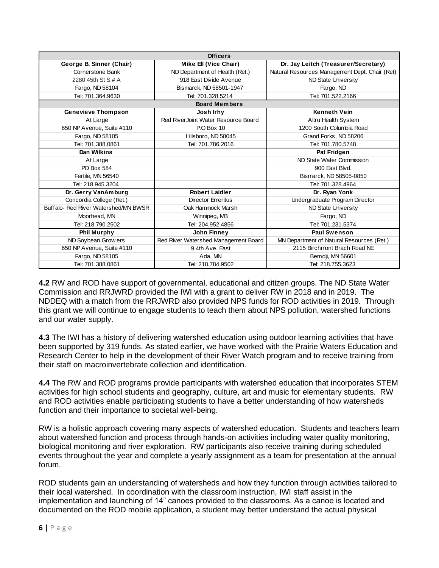| <b>Officers</b>                      |                                      |                                                |  |  |  |
|--------------------------------------|--------------------------------------|------------------------------------------------|--|--|--|
| George B. Sinner (Chair)             | Mike Ell (Vice Chair)                | Dr. Jay Leitch (Treasurer/Secretary)           |  |  |  |
| Cornerstone Bank                     | ND Department of Health (Ret.)       | Natural Resources Management Dept. Chair (Ret) |  |  |  |
| 2280 45th St S # A                   | 918 East Divide Avenue               | ND State University                            |  |  |  |
| Fargo, ND 58104                      | Bismarck, ND 58501-1947              | Fargo, ND                                      |  |  |  |
| Tel: 701.364.9630                    | Tel: 701.328.5214                    | Tel: 701.522.2166                              |  |  |  |
|                                      | <b>Board Members</b>                 |                                                |  |  |  |
| <b>Genevieve Thompson</b>            | Josh Irhy                            | <b>Kenneth Vein</b>                            |  |  |  |
| At Large                             | Red RiverJoint Water Resource Board  | Altru Health System                            |  |  |  |
| 650 NP Avenue, Suite #110            | P.O Box 10                           | 1200 South Columbia Road                       |  |  |  |
| Fargo, ND 58105                      | Hillsboro, ND 58045                  | Grand Forks, ND 58206                          |  |  |  |
| Tel: 701.388.0861                    | Tel: 701.786.2016                    | Tel: 701.780.5748                              |  |  |  |
| Dan Wilkins                          |                                      | <b>Pat Fridgen</b>                             |  |  |  |
| At Large                             |                                      | ND State Water Commission                      |  |  |  |
| PO Box 584                           |                                      | 900 East Blvd.                                 |  |  |  |
| Fertile, MN 56540                    |                                      | Bismarck, ND 58505-0850                        |  |  |  |
| Tel: 218.945.3204                    |                                      | Tel: 701.328.4964                              |  |  |  |
| Dr. Gerry VanAmburg                  | <b>Robert Laidler</b>                | Dr. Ryan Yonk                                  |  |  |  |
| Concordia College (Ret.)             | <b>Director Emeritus</b>             | Undergraduate Program Director                 |  |  |  |
| Buffalo- Red River Watershed/MN BWSR | Oak Hammock Marsh                    | ND State University                            |  |  |  |
| Moorhead, MN                         | Winnipeg, MB                         | Fargo, ND                                      |  |  |  |
| Tel: 218.790.2502                    | Tel: 204.952.4856                    | Tel: 701.231.5374                              |  |  |  |
| <b>Phil Murphy</b>                   | John Finney                          | Paul Swenson                                   |  |  |  |
| ND Soybean Grow ers                  | Red River Watershed Management Board | MN Department of Natural Resources (Ret.)      |  |  |  |
| 650 NP Avenue, Suite #110            | 9 4th Ave. East                      | 2115 Birchmont Brach Road NE                   |  |  |  |
| Fargo, ND 58105                      | Ada, MN                              | Bemidji, MN 56601                              |  |  |  |
| Tel: 701.388.0861                    | Tel: 218.784.9502                    | Tel: 218.755.3623                              |  |  |  |

**4.2** RW and ROD have support of governmental, educational and citizen groups. The ND State Water Commission and RRJWRD provided the IWI with a grant to deliver RW in 2018 and in 2019. The NDDEQ with a match from the RRJWRD also provided NPS funds for ROD activities in 2019. Through this grant we will continue to engage students to teach them about NPS pollution, watershed functions and our water supply.

**4.3** The IWI has a history of delivering watershed education using outdoor learning activities that have been supported by 319 funds. As stated earlier, we have worked with the Prairie Waters Education and Research Center to help in the development of their River Watch program and to receive training from their staff on macroinvertebrate collection and identification.

**4.4** The RW and ROD programs provide participants with watershed education that incorporates STEM activities for high school students and geography, culture, art and music for elementary students. RW and ROD activities enable participating students to have a better understanding of how watersheds function and their importance to societal well-being.

RW is a holistic approach covering many aspects of watershed education. Students and teachers learn about watershed function and process through hands-on activities including water quality monitoring, biological monitoring and river exploration. RW participants also receive training during scheduled events throughout the year and complete a yearly assignment as a team for presentation at the annual forum.

ROD students gain an understanding of watersheds and how they function through activities tailored to their local watershed. In coordination with the classroom instruction, IWI staff assist in the implementation and launching of 14" canoes provided to the classrooms. As a canoe is located and documented on the ROD mobile application, a student may better understand the actual physical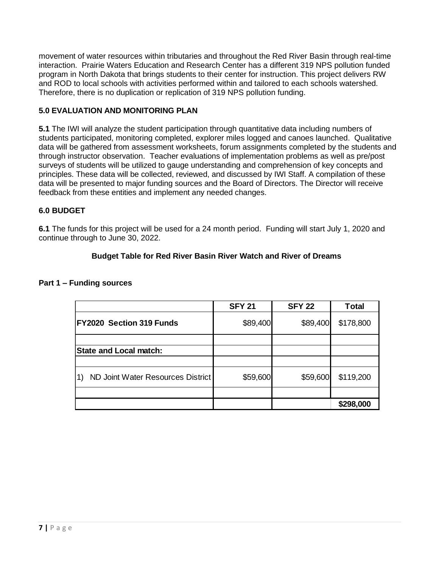movement of water resources within tributaries and throughout the Red River Basin through real-time interaction. Prairie Waters Education and Research Center has a different 319 NPS pollution funded program in North Dakota that brings students to their center for instruction. This project delivers RW and ROD to local schools with activities performed within and tailored to each schools watershed. Therefore, there is no duplication or replication of 319 NPS pollution funding.

# **5.0 EVALUATION AND MONITORING PLAN**

**5.1** The IWI will analyze the student participation through quantitative data including numbers of students participated, monitoring completed, explorer miles logged and canoes launched. Qualitative data will be gathered from assessment worksheets, forum assignments completed by the students and through instructor observation. Teacher evaluations of implementation problems as well as pre/post surveys of students will be utilized to gauge understanding and comprehension of key concepts and principles. These data will be collected, reviewed, and discussed by IWI Staff. A compilation of these data will be presented to major funding sources and the Board of Directors. The Director will receive feedback from these entities and implement any needed changes.

## **6.0 BUDGET**

**6.1** The funds for this project will be used for a 24 month period. Funding will start July 1, 2020 and continue through to June 30, 2022.

## **Budget Table for Red River Basin River Watch and River of Dreams**

|                                                 | <b>SFY 21</b> | <b>SFY 22</b> | <b>Total</b> |
|-------------------------------------------------|---------------|---------------|--------------|
| FY2020 Section 319 Funds                        | \$89,400      | \$89,400      | \$178,800    |
|                                                 |               |               |              |
| <b>State and Local match:</b>                   |               |               |              |
|                                                 |               |               |              |
| $\vert$ 1)<br>ND Joint Water Resources District | \$59,600      | \$59,600      | \$119,200    |
|                                                 |               |               |              |
|                                                 |               |               | \$298,000    |